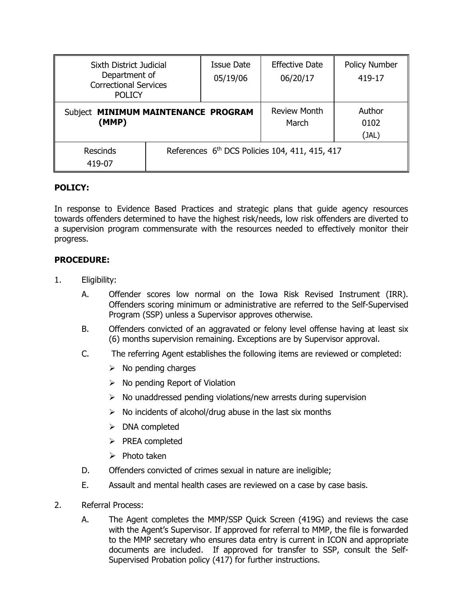| Sixth District Judicial<br>Department of<br><b>Correctional Services</b><br><b>POLICY</b> |                                                | <b>Issue Date</b><br>05/19/06 | <b>Effective Date</b><br>06/20/17 | <b>Policy Number</b><br>419-17 |
|-------------------------------------------------------------------------------------------|------------------------------------------------|-------------------------------|-----------------------------------|--------------------------------|
| Subject MINIMUM MAINTENANCE PROGRAM<br>(MMP)                                              |                                                |                               | <b>Review Month</b><br>March      | Author<br>0102<br>(JAL)        |
| <b>Rescinds</b><br>419-07                                                                 | References 6th DCS Policies 104, 411, 415, 417 |                               |                                   |                                |

# **POLICY:**

In response to Evidence Based Practices and strategic plans that guide agency resources towards offenders determined to have the highest risk/needs, low risk offenders are diverted to a supervision program commensurate with the resources needed to effectively monitor their progress.

# **PROCEDURE:**

- 1. Eligibility:
	- A. Offender scores low normal on the Iowa Risk Revised Instrument (IRR). Offenders scoring minimum or administrative are referred to the Self-Supervised Program (SSP) unless a Supervisor approves otherwise.
	- B. Offenders convicted of an aggravated or felony level offense having at least six (6) months supervision remaining. Exceptions are by Supervisor approval.
	- C. The referring Agent establishes the following items are reviewed or completed:
		- $\triangleright$  No pending charges
		- $\triangleright$  No pending Report of Violation
		- $\triangleright$  No unaddressed pending violations/new arrests during supervision
		- $\triangleright$  No incidents of alcohol/drug abuse in the last six months
		- $\triangleright$  DNA completed
		- $\triangleright$  PREA completed
		- $\triangleright$  Photo taken
	- D. Offenders convicted of crimes sexual in nature are ineligible;
	- E. Assault and mental health cases are reviewed on a case by case basis.
- 2. Referral Process:
	- A. The Agent completes the MMP/SSP Quick Screen (419G) and reviews the case with the Agent's Supervisor. If approved for referral to MMP, the file is forwarded to the MMP secretary who ensures data entry is current in ICON and appropriate documents are included. If approved for transfer to SSP, consult the Self-Supervised Probation policy (417) for further instructions.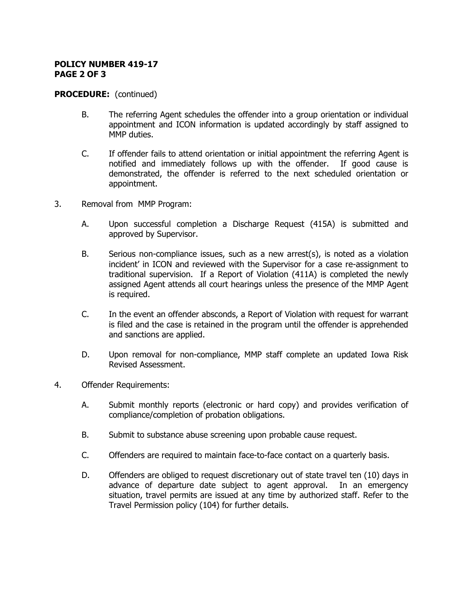### **POLICY NUMBER 419-17 PAGE 2 OF 3**

### **PROCEDURE:** (continued)

- B. The referring Agent schedules the offender into a group orientation or individual appointment and ICON information is updated accordingly by staff assigned to MMP duties.
- C. If offender fails to attend orientation or initial appointment the referring Agent is notified and immediately follows up with the offender. If good cause is demonstrated, the offender is referred to the next scheduled orientation or appointment.
- 3. Removal from MMP Program:
	- A. Upon successful completion a Discharge Request (415A) is submitted and approved by Supervisor.
	- B. Serious non-compliance issues, such as a new arrest(s), is noted as a violation incident' in ICON and reviewed with the Supervisor for a case re-assignment to traditional supervision. If a Report of Violation (411A) is completed the newly assigned Agent attends all court hearings unless the presence of the MMP Agent is required.
	- C. In the event an offender absconds, a Report of Violation with request for warrant is filed and the case is retained in the program until the offender is apprehended and sanctions are applied.
	- D. Upon removal for non-compliance, MMP staff complete an updated Iowa Risk Revised Assessment.
- 4. Offender Requirements:
	- A. Submit monthly reports (electronic or hard copy) and provides verification of compliance/completion of probation obligations.
	- B. Submit to substance abuse screening upon probable cause request.
	- C. Offenders are required to maintain face-to-face contact on a quarterly basis.
	- D. Offenders are obliged to request discretionary out of state travel ten (10) days in advance of departure date subject to agent approval. In an emergency situation, travel permits are issued at any time by authorized staff. Refer to the Travel Permission policy (104) for further details.